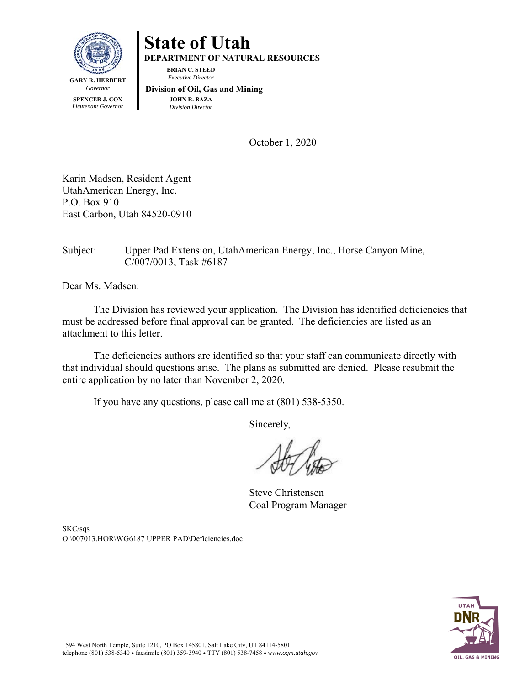

# **State of Utah**

**DEPARTMENT OF NATURAL RESOURCES** 

**BRIAN C. STEED**   *Executive Director* 

**SPENCER J. COX**  *Lieutenant Governor*   **Division of Oil, Gas and Mining JOHN R. BAZA**  *Division Director*

October 1, 2020

Karin Madsen, Resident Agent UtahAmerican Energy, Inc. P.O. Box 910 East Carbon, Utah 84520-0910

### Subject: Upper Pad Extension, UtahAmerican Energy, Inc., Horse Canyon Mine, C/007/0013, Task #6187

Dear Ms. Madsen:

The Division has reviewed your application. The Division has identified deficiencies that must be addressed before final approval can be granted. The deficiencies are listed as an attachment to this letter.

The deficiencies authors are identified so that your staff can communicate directly with that individual should questions arise. The plans as submitted are denied. Please resubmit the entire application by no later than November 2, 2020.

If you have any questions, please call me at (801) 538-5350.

Sincerely,

 Steve Christensen Coal Program Manager

SKC/sqs O:\007013.HOR\WG6187 UPPER PAD\Deficiencies.doc

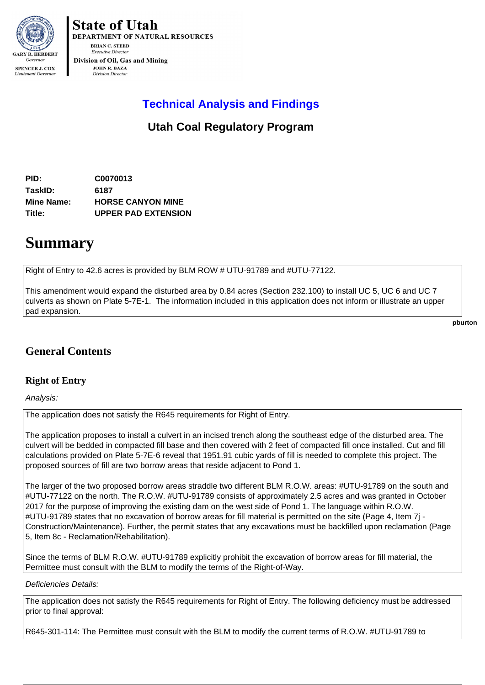

**State of Utah DEPARTMENT OF NATURAL RESOURCES BRIAN C. STEED Executive Directo** Division of Oil, Gas and Mining **JOHN R. BAZA** 

# **Technical Analysis and Findings**

# **Utah Coal Regulatory Program**

| PID:       | C0070013                   |
|------------|----------------------------|
| TaskID:    | 6187                       |
| Mine Name: | <b>HORSE CANYON MINE</b>   |
| Title:     | <b>UPPER PAD EXTENSION</b> |

**Division Director** 

# **Summary**

Right of Entry to 42.6 acres is provided by BLM ROW # UTU-91789 and #UTU-77122.

This amendment would expand the disturbed area by 0.84 acres (Section 232.100) to install UC 5, UC 6 and UC 7 culverts as shown on Plate 5-7E-1. The information included in this application does not inform or illustrate an upper pad expansion.

**pburton** 

# **General Contents**

## **Right of Entry**

Analysis:

The application does not satisfy the R645 requirements for Right of Entry.

The application proposes to install a culvert in an incised trench along the southeast edge of the disturbed area. The culvert will be bedded in compacted fill base and then covered with 2 feet of compacted fill once installed. Cut and fill calculations provided on Plate 5-7E-6 reveal that 1951.91 cubic yards of fill is needed to complete this project. The proposed sources of fill are two borrow areas that reside adjacent to Pond 1.

The larger of the two proposed borrow areas straddle two different BLM R.O.W. areas: #UTU-91789 on the south and #UTU-77122 on the north. The R.O.W. #UTU-91789 consists of approximately 2.5 acres and was granted in October 2017 for the purpose of improving the existing dam on the west side of Pond 1. The language within R.O.W. #UTU-91789 states that no excavation of borrow areas for fill material is permitted on the site (Page 4, Item 7j - Construction/Maintenance). Further, the permit states that any excavations must be backfilled upon reclamation (Page 5, Item 8c - Reclamation/Rehabilitation).

Since the terms of BLM R.O.W. #UTU-91789 explicitly prohibit the excavation of borrow areas for fill material, the Permittee must consult with the BLM to modify the terms of the Right-of-Way.

Deficiencies Details:

The application does not satisfy the R645 requirements for Right of Entry. The following deficiency must be addressed prior to final approval:

R645-301-114: The Permittee must consult with the BLM to modify the current terms of R.O.W. #UTU-91789 to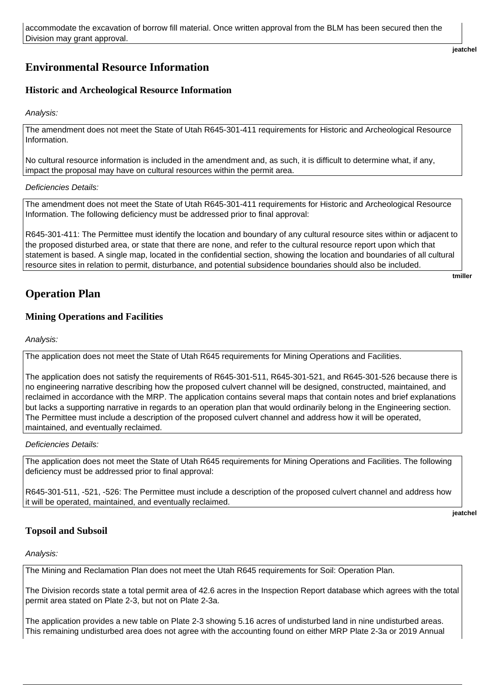#### **jeatchel**

# **Environmental Resource Information**

## **Historic and Archeological Resource Information**

Analysis:

The amendment does not meet the State of Utah R645-301-411 requirements for Historic and Archeological Resource Information.

No cultural resource information is included in the amendment and, as such, it is difficult to determine what, if any, impact the proposal may have on cultural resources within the permit area.

## Deficiencies Details:

The amendment does not meet the State of Utah R645-301-411 requirements for Historic and Archeological Resource Information. The following deficiency must be addressed prior to final approval:

R645-301-411: The Permittee must identify the location and boundary of any cultural resource sites within or adjacent to the proposed disturbed area, or state that there are none, and refer to the cultural resource report upon which that statement is based. A single map, located in the confidential section, showing the location and boundaries of all cultural resource sites in relation to permit, disturbance, and potential subsidence boundaries should also be included.

**tmiller** 

## **Operation Plan**

## **Mining Operations and Facilities**

Analysis:

The application does not meet the State of Utah R645 requirements for Mining Operations and Facilities.

The application does not satisfy the requirements of R645-301-511, R645-301-521, and R645-301-526 because there is no engineering narrative describing how the proposed culvert channel will be designed, constructed, maintained, and reclaimed in accordance with the MRP. The application contains several maps that contain notes and brief explanations but lacks a supporting narrative in regards to an operation plan that would ordinarily belong in the Engineering section. The Permittee must include a description of the proposed culvert channel and address how it will be operated, maintained, and eventually reclaimed.

Deficiencies Details:

The application does not meet the State of Utah R645 requirements for Mining Operations and Facilities. The following deficiency must be addressed prior to final approval:

R645-301-511, -521, -526: The Permittee must include a description of the proposed culvert channel and address how it will be operated, maintained, and eventually reclaimed.

**jeatchel** 

## **Topsoil and Subsoil**

Analysis:

The Mining and Reclamation Plan does not meet the Utah R645 requirements for Soil: Operation Plan.

The Division records state a total permit area of 42.6 acres in the Inspection Report database which agrees with the total permit area stated on Plate 2-3, but not on Plate 2-3a.

The application provides a new table on Plate 2-3 showing 5.16 acres of undisturbed land in nine undisturbed areas. This remaining undisturbed area does not agree with the accounting found on either MRP Plate 2-3a or 2019 Annual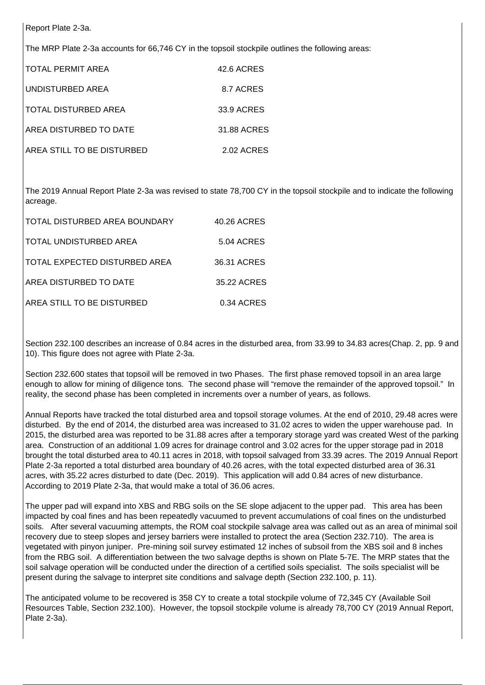Report Plate 2-3a.

The MRP Plate 2-3a accounts for 66,746 CY in the topsoil stockpile outlines the following areas:

| TOTAL PERMIT AREA          | 42.6 ACRES  |
|----------------------------|-------------|
| UNDISTURBED AREA           | 8.7 ACRES   |
| TOTAL DISTURBED AREA       | 33.9 ACRES  |
| AREA DISTURBED TO DATE     | 31.88 ACRES |
| AREA STILL TO BE DISTURBED | 2.02 ACRES  |

The 2019 Annual Report Plate 2-3a was revised to state 78,700 CY in the topsoil stockpile and to indicate the following acreage.

| TOTAL DISTURBED AREA BOUNDARY | 40.26 ACRES |
|-------------------------------|-------------|
| TOTAL UNDISTURBED AREA        | 5.04 ACRES  |
| TOTAL EXPECTED DISTURBED AREA | 36.31 ACRES |
| AREA DISTURBED TO DATE        | 35.22 ACRES |
| AREA STILL TO BE DISTURBED    | 0.34 ACRES  |

Section 232.100 describes an increase of 0.84 acres in the disturbed area, from 33.99 to 34.83 acres(Chap. 2, pp. 9 and 10). This figure does not agree with Plate 2-3a.

Section 232.600 states that topsoil will be removed in two Phases. The first phase removed topsoil in an area large enough to allow for mining of diligence tons. The second phase will "remove the remainder of the approved topsoil." In reality, the second phase has been completed in increments over a number of years, as follows.

Annual Reports have tracked the total disturbed area and topsoil storage volumes. At the end of 2010, 29.48 acres were disturbed. By the end of 2014, the disturbed area was increased to 31.02 acres to widen the upper warehouse pad. In 2015, the disturbed area was reported to be 31.88 acres after a temporary storage yard was created West of the parking area. Construction of an additional 1.09 acres for drainage control and 3.02 acres for the upper storage pad in 2018 brought the total disturbed area to 40.11 acres in 2018, with topsoil salvaged from 33.39 acres. The 2019 Annual Report Plate 2-3a reported a total disturbed area boundary of 40.26 acres, with the total expected disturbed area of 36.31 acres, with 35.22 acres disturbed to date (Dec. 2019). This application will add 0.84 acres of new disturbance. According to 2019 Plate 2-3a, that would make a total of 36.06 acres.

The upper pad will expand into XBS and RBG soils on the SE slope adjacent to the upper pad. This area has been impacted by coal fines and has been repeatedly vacuumed to prevent accumulations of coal fines on the undisturbed soils. After several vacuuming attempts, the ROM coal stockpile salvage area was called out as an area of minimal soil recovery due to steep slopes and jersey barriers were installed to protect the area (Section 232.710). The area is vegetated with pinyon juniper. Pre-mining soil survey estimated 12 inches of subsoil from the XBS soil and 8 inches from the RBG soil. A differentiation between the two salvage depths is shown on Plate 5-7E. The MRP states that the soil salvage operation will be conducted under the direction of a certified soils specialist. The soils specialist will be present during the salvage to interpret site conditions and salvage depth (Section 232.100, p. 11).

The anticipated volume to be recovered is 358 CY to create a total stockpile volume of 72,345 CY (Available Soil Resources Table, Section 232.100). However, the topsoil stockpile volume is already 78,700 CY (2019 Annual Report, Plate 2-3a).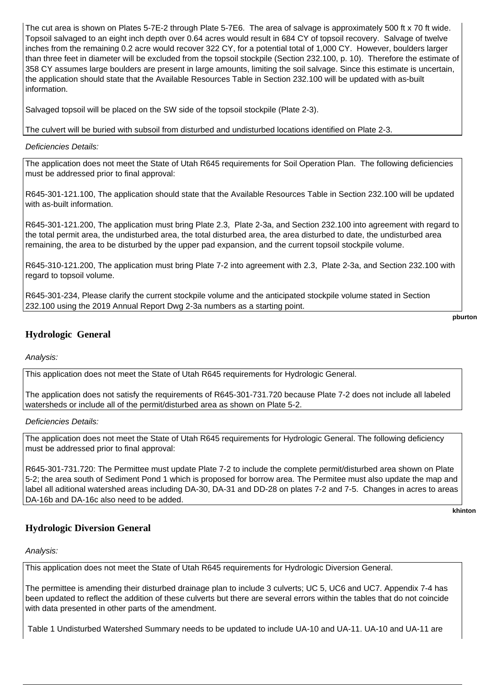The cut area is shown on Plates 5-7E-2 through Plate 5-7E6. The area of salvage is approximately 500 ft x 70 ft wide. Topsoil salvaged to an eight inch depth over 0.64 acres would result in 684 CY of topsoil recovery. Salvage of twelve inches from the remaining 0.2 acre would recover 322 CY, for a potential total of 1,000 CY. However, boulders larger than three feet in diameter will be excluded from the topsoil stockpile (Section 232.100, p. 10). Therefore the estimate of 358 CY assumes large boulders are present in large amounts, limiting the soil salvage. Since this estimate is uncertain, the application should state that the Available Resources Table in Section 232.100 will be updated with as-built information.

Salvaged topsoil will be placed on the SW side of the topsoil stockpile (Plate 2-3).

The culvert will be buried with subsoil from disturbed and undisturbed locations identified on Plate 2-3.

#### Deficiencies Details:

The application does not meet the State of Utah R645 requirements for Soil Operation Plan. The following deficiencies must be addressed prior to final approval:

R645-301-121.100, The application should state that the Available Resources Table in Section 232.100 will be updated with as-built information.

R645-301-121.200, The application must bring Plate 2.3, Plate 2-3a, and Section 232.100 into agreement with regard to the total permit area, the undisturbed area, the total disturbed area, the area disturbed to date, the undisturbed area remaining, the area to be disturbed by the upper pad expansion, and the current topsoil stockpile volume.

R645-310-121.200, The application must bring Plate 7-2 into agreement with 2.3, Plate 2-3a, and Section 232.100 with regard to topsoil volume.

R645-301-234, Please clarify the current stockpile volume and the anticipated stockpile volume stated in Section 232.100 using the 2019 Annual Report Dwg 2-3a numbers as a starting point.

```
pburton
```
## **Hydrologic General**

Analysis:

This application does not meet the State of Utah R645 requirements for Hydrologic General.

The application does not satisfy the requirements of R645-301-731.720 because Plate 7-2 does not include all labeled watersheds or include all of the permit/disturbed area as shown on Plate 5-2.

#### Deficiencies Details:

The application does not meet the State of Utah R645 requirements for Hydrologic General. The following deficiency must be addressed prior to final approval:

R645-301-731.720: The Permittee must update Plate 7-2 to include the complete permit/disturbed area shown on Plate 5-2; the area south of Sediment Pond 1 which is proposed for borrow area. The Permitee must also update the map and label all aditional watershed areas including DA-30, DA-31 and DD-28 on plates 7-2 and 7-5. Changes in acres to areas DA-16b and DA-16c also need to be added.

#### **khinton**

## **Hydrologic Diversion General**

Analysis:

This application does not meet the State of Utah R645 requirements for Hydrologic Diversion General.

The permittee is amending their disturbed drainage plan to include 3 culverts; UC 5, UC6 and UC7. Appendix 7-4 has been updated to reflect the addition of these culverts but there are several errors within the tables that do not coincide with data presented in other parts of the amendment.

Table 1 Undisturbed Watershed Summary needs to be updated to include UA-10 and UA-11. UA-10 and UA-11 are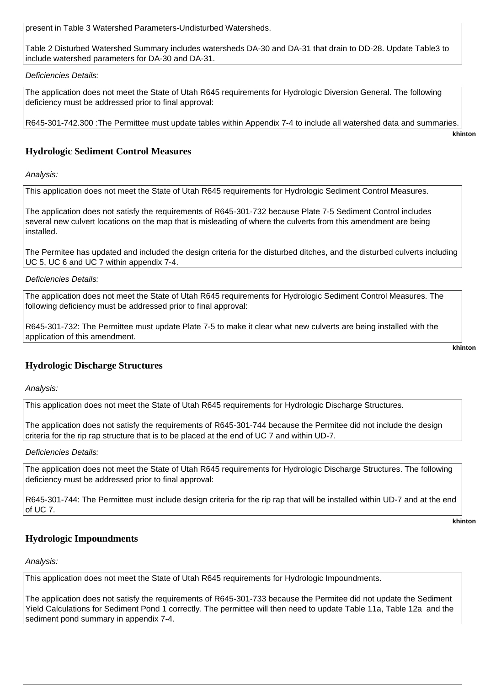present in Table 3 Watershed Parameters-Undisturbed Watersheds.

Table 2 Disturbed Watershed Summary includes watersheds DA-30 and DA-31 that drain to DD-28. Update Table3 to include watershed parameters for DA-30 and DA-31.

Deficiencies Details:

The application does not meet the State of Utah R645 requirements for Hydrologic Diversion General. The following deficiency must be addressed prior to final approval:

R645-301-742.300 :The Permittee must update tables within Appendix 7-4 to include all watershed data and summaries.

**khinton** 

## **Hydrologic Sediment Control Measures**

Analysis:

This application does not meet the State of Utah R645 requirements for Hydrologic Sediment Control Measures.

The application does not satisfy the requirements of R645-301-732 because Plate 7-5 Sediment Control includes several new culvert locations on the map that is misleading of where the culverts from this amendment are being installed.

The Permitee has updated and included the design criteria for the disturbed ditches, and the disturbed culverts including UC 5, UC 6 and UC 7 within appendix 7-4.

#### Deficiencies Details:

The application does not meet the State of Utah R645 requirements for Hydrologic Sediment Control Measures. The following deficiency must be addressed prior to final approval:

R645-301-732: The Permittee must update Plate 7-5 to make it clear what new culverts are being installed with the application of this amendment.

**khinton** 

## **Hydrologic Discharge Structures**

Analysis:

This application does not meet the State of Utah R645 requirements for Hydrologic Discharge Structures.

The application does not satisfy the requirements of R645-301-744 because the Permitee did not include the design criteria for the rip rap structure that is to be placed at the end of UC 7 and within UD-7.

Deficiencies Details:

The application does not meet the State of Utah R645 requirements for Hydrologic Discharge Structures. The following deficiency must be addressed prior to final approval:

R645-301-744: The Permittee must include design criteria for the rip rap that will be installed within UD-7 and at the end of UC 7.

**khinton** 

## **Hydrologic Impoundments**

Analysis:

This application does not meet the State of Utah R645 requirements for Hydrologic Impoundments.

The application does not satisfy the requirements of R645-301-733 because the Permitee did not update the Sediment Yield Calculations for Sediment Pond 1 correctly. The permittee will then need to update Table 11a, Table 12a and the sediment pond summary in appendix 7-4.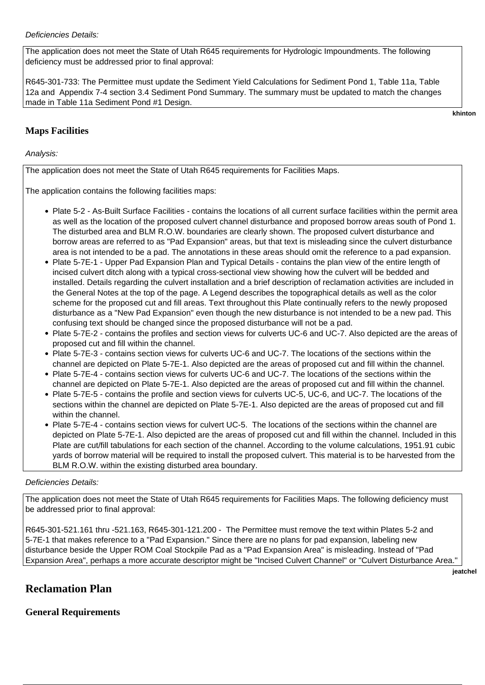The application does not meet the State of Utah R645 requirements for Hydrologic Impoundments. The following deficiency must be addressed prior to final approval:

R645-301-733: The Permittee must update the Sediment Yield Calculations for Sediment Pond 1, Table 11a, Table 12a and Appendix 7-4 section 3.4 Sediment Pond Summary. The summary must be updated to match the changes made in Table 11a Sediment Pond #1 Design.

### **Maps Facilities**

Analysis:

The application does not meet the State of Utah R645 requirements for Facilities Maps.

The application contains the following facilities maps:

- Plate 5-2 As-Built Surface Facilities contains the locations of all current surface facilities within the permit area as well as the location of the proposed culvert channel disturbance and proposed borrow areas south of Pond 1. The disturbed area and BLM R.O.W. boundaries are clearly shown. The proposed culvert disturbance and borrow areas are referred to as "Pad Expansion" areas, but that text is misleading since the culvert disturbance area is not intended to be a pad. The annotations in these areas should omit the reference to a pad expansion.
- Plate 5-7E-1 Upper Pad Expansion Plan and Typical Details contains the plan view of the entire length of incised culvert ditch along with a typical cross-sectional view showing how the culvert will be bedded and installed. Details regarding the culvert installation and a brief description of reclamation activities are included in the General Notes at the top of the page. A Legend describes the topographical details as well as the color scheme for the proposed cut and fill areas. Text throughout this Plate continually refers to the newly proposed disturbance as a "New Pad Expansion" even though the new disturbance is not intended to be a new pad. This confusing text should be changed since the proposed disturbance will not be a pad.
- Plate 5-7E-2 contains the profiles and section views for culverts UC-6 and UC-7. Also depicted are the areas of proposed cut and fill within the channel.
- Plate 5-7E-3 contains section views for culverts UC-6 and UC-7. The locations of the sections within the channel are depicted on Plate 5-7E-1. Also depicted are the areas of proposed cut and fill within the channel.
- Plate 5-7E-4 contains section views for culverts UC-6 and UC-7. The locations of the sections within the channel are depicted on Plate 5-7E-1. Also depicted are the areas of proposed cut and fill within the channel.
- Plate 5-7E-5 contains the profile and section views for culverts UC-5, UC-6, and UC-7. The locations of the sections within the channel are depicted on Plate 5-7E-1. Also depicted are the areas of proposed cut and fill within the channel.
- Plate 5-7E-4 contains section views for culvert UC-5. The locations of the sections within the channel are depicted on Plate 5-7E-1. Also depicted are the areas of proposed cut and fill within the channel. Included in this Plate are cut/fill tabulations for each section of the channel. According to the volume calculations, 1951.91 cubic yards of borrow material will be required to install the proposed culvert. This material is to be harvested from the BLM R.O.W. within the existing disturbed area boundary.

#### Deficiencies Details:

The application does not meet the State of Utah R645 requirements for Facilities Maps. The following deficiency must be addressed prior to final approval:

R645-301-521.161 thru -521.163, R645-301-121.200 - The Permittee must remove the text within Plates 5-2 and 5-7E-1 that makes reference to a "Pad Expansion." Since there are no plans for pad expansion, labeling new disturbance beside the Upper ROM Coal Stockpile Pad as a "Pad Expansion Area" is misleading. Instead of "Pad Expansion Area", perhaps a more accurate descriptor might be "Incised Culvert Channel" or "Culvert Disturbance Area."

## **Reclamation Plan**

**jeatchel** 

**khinton** 

**General Requirements**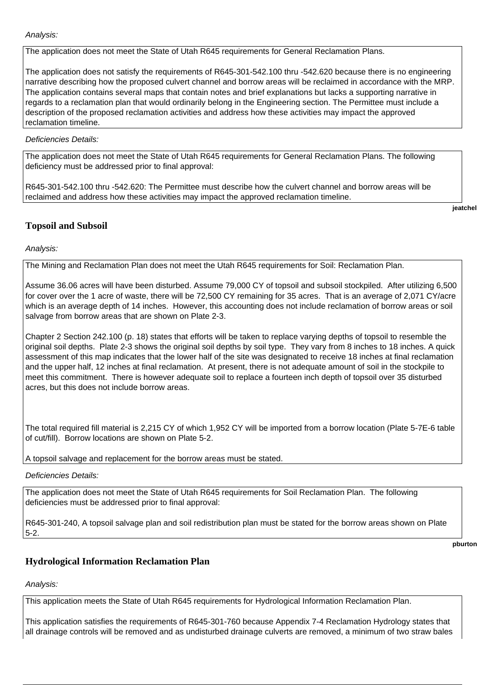#### Analysis:

The application does not meet the State of Utah R645 requirements for General Reclamation Plans.

The application does not satisfy the requirements of R645-301-542.100 thru -542.620 because there is no engineering narrative describing how the proposed culvert channel and borrow areas will be reclaimed in accordance with the MRP. The application contains several maps that contain notes and brief explanations but lacks a supporting narrative in regards to a reclamation plan that would ordinarily belong in the Engineering section. The Permittee must include a description of the proposed reclamation activities and address how these activities may impact the approved reclamation timeline.

#### Deficiencies Details:

The application does not meet the State of Utah R645 requirements for General Reclamation Plans. The following deficiency must be addressed prior to final approval:

R645-301-542.100 thru -542.620: The Permittee must describe how the culvert channel and borrow areas will be reclaimed and address how these activities may impact the approved reclamation timeline.

**jeatchel** 

#### **Topsoil and Subsoil**

#### Analysis:

The Mining and Reclamation Plan does not meet the Utah R645 requirements for Soil: Reclamation Plan.

Assume 36.06 acres will have been disturbed. Assume 79,000 CY of topsoil and subsoil stockpiled. After utilizing 6,500 for cover over the 1 acre of waste, there will be 72,500 CY remaining for 35 acres. That is an average of 2,071 CY/acre which is an average depth of 14 inches. However, this accounting does not include reclamation of borrow areas or soil salvage from borrow areas that are shown on Plate 2-3.

Chapter 2 Section 242.100 (p. 18) states that efforts will be taken to replace varying depths of topsoil to resemble the original soil depths. Plate 2-3 shows the original soil depths by soil type. They vary from 8 inches to 18 inches. A quick assessment of this map indicates that the lower half of the site was designated to receive 18 inches at final reclamation and the upper half, 12 inches at final reclamation. At present, there is not adequate amount of soil in the stockpile to meet this commitment. There is however adequate soil to replace a fourteen inch depth of topsoil over 35 disturbed acres, but this does not include borrow areas.

The total required fill material is 2,215 CY of which 1,952 CY will be imported from a borrow location (Plate 5-7E-6 table of cut/fill). Borrow locations are shown on Plate 5-2.

A topsoil salvage and replacement for the borrow areas must be stated.

#### Deficiencies Details:

The application does not meet the State of Utah R645 requirements for Soil Reclamation Plan. The following deficiencies must be addressed prior to final approval:

R645-301-240, A topsoil salvage plan and soil redistribution plan must be stated for the borrow areas shown on Plate 5-2.

**pburton** 

#### **Hydrological Information Reclamation Plan**

Analysis:

This application meets the State of Utah R645 requirements for Hydrological Information Reclamation Plan.

This application satisfies the requirements of R645-301-760 because Appendix 7-4 Reclamation Hydrology states that all drainage controls will be removed and as undisturbed drainage culverts are removed, a minimum of two straw bales